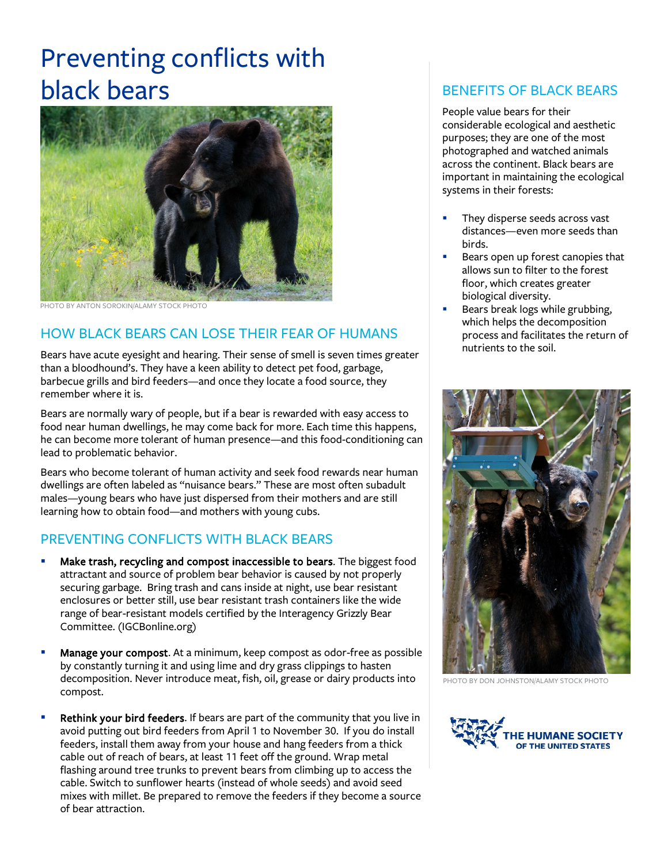# Preventing conflicts with black bears



PHOTO BY ANTON SOROKIN/ALAMY STOCK PHOTO

# HOW BLACK BEARS CAN LOSE THEIR FEAR OF HUMANS

Bears have acute eyesight and hearing. Their sense of smell is seven times greater than a bloodhound's. They have a keen ability to detect pet food, garbage, barbecue grills and bird feeders—and once they locate a food source, they remember where it is.

Bears are normally wary of people, but if a bear is rewarded with easy access to food near human dwellings, he may come back for more. Each time this happens, he can become more tolerant of human presence—and this food-conditioning can lead to problematic behavior.

Bears who become tolerant of human activity and seek food rewards near human dwellings are often labeled as "nuisance bears." These are most often subadult males—young bears who have just dispersed from their mothers and are still learning how to obtain food—and mothers with young cubs.

#### PREVENTING CONFLICTS WITH BLACK BEARS

- Make trash, recycling and compost inaccessible to bears. The biggest food attractant and source of problem bear behavior is caused by not properly securing garbage. Bring trash and cans inside at night, use bear resistant enclosures or better still, use bear resistant trash containers like the wide range of bear-resistant models certified by the Interagency Grizzly Bear Committee. (IGCBonline.org)
- Manage your compost. At a minimum, keep compost as odor-free as possible by constantly turning it and using lime and dry grass clippings to hasten decomposition. Never introduce meat, fish, oil, grease or dairy products into compost.
- Rethink your bird feeders. If bears are part of the community that you live in avoid putting out bird feeders from April 1 to November 30. If you do install feeders, install them away from your house and hang feeders from a thick cable out of reach of bears, at least 11 feet off the ground. Wrap metal flashing around tree trunks to prevent bears from climbing up to access the cable. Switch to sunflower hearts (instead of whole seeds) and avoid seed mixes with millet. Be prepared to remove the feeders if they become a source of bear attraction.

### BENEFITS OF BLACK BEARS

People value bears for their considerable ecological and aesthetic purposes; they are one of the most photographed and watched animals across the continent. Black bears are important in maintaining the ecological systems in their forests:

- They disperse seeds across vast distances—even more seeds than birds.
- Bears open up forest canopies that allows sun to filter to the forest floor, which creates greater biological diversity.
- Bears break logs while grubbing, which helps the decomposition process and facilitates the return of nutrients to the soil.



PHOTO BY DON JOHNSTON/ALAMY STOCK PHOTO